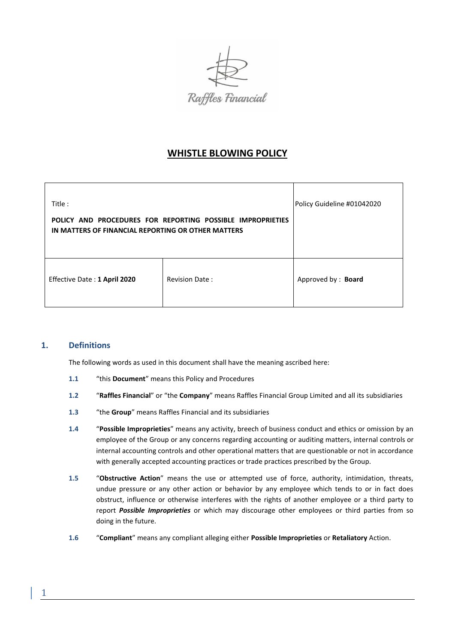

# **WHISTLE BLOWING POLICY**

| Title:<br>POLICY AND PROCEDURES FOR REPORTING POSSIBLE IMPROPRIETIES<br>IN MATTERS OF FINANCIAL REPORTING OR OTHER MATTERS |                       | Policy Guideline #01042020 |
|----------------------------------------------------------------------------------------------------------------------------|-----------------------|----------------------------|
| Effective Date: 1 April 2020                                                                                               | <b>Revision Date:</b> | Approved by: Board         |

# **1. Definitions**

The following words as used in this document shall have the meaning ascribed here:

- **1.1** "this **Document**" means this Policy and Procedures
- **1.2** "**Raffles Financial**" or "the **Company**" means Raffles Financial Group Limited and all its subsidiaries
- **1.3** "the **Group**" means Raffles Financial and its subsidiaries
- **1.4** "**Possible Improprieties**" means any activity, breech of business conduct and ethics or omission by an employee of the Group or any concerns regarding accounting or auditing matters, internal controls or internal accounting controls and other operational matters that are questionable or not in accordance with generally accepted accounting practices or trade practices prescribed by the Group.
- **1.5** "**Obstructive Action**" means the use or attempted use of force, authority, intimidation, threats, undue pressure or any other action or behavior by any employee which tends to or in fact does obstruct, influence or otherwise interferes with the rights of another employee or a third party to report *Possible Improprieties* or which may discourage other employees or third parties from so doing in the future.
- **1.6** "**Compliant**" means any compliant alleging either **Possible Improprieties** or **Retaliatory** Action.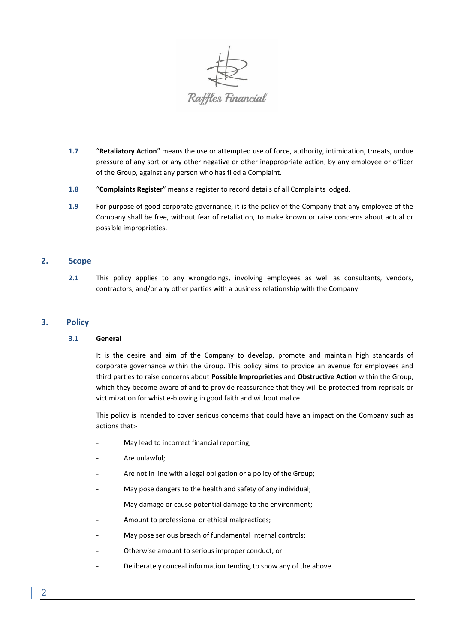

- **1.7** "**Retaliatory Action**" means the use or attempted use of force, authority, intimidation, threats, undue pressure of any sort or any other negative or other inappropriate action, by any employee or officer of the Group, against any person who has filed a Complaint.
- **1.8** "**Complaints Register**" means a register to record details of all Complaints lodged.
- **1.9** For purpose of good corporate governance, it is the policy of the Company that any employee of the Company shall be free, without fear of retaliation, to make known or raise concerns about actual or possible improprieties.

# **2. Scope**

**2.1** This policy applies to any wrongdoings, involving employees as well as consultants, vendors, contractors, and/or any other parties with a business relationship with the Company.

### **3. Policy**

### **3.1 General**

It is the desire and aim of the Company to develop, promote and maintain high standards of corporate governance within the Group. This policy aims to provide an avenue for employees and third parties to raise concerns about **Possible Improprieties** and **Obstructive Action** within the Group, which they become aware of and to provide reassurance that they will be protected from reprisals or victimization for whistle-blowing in good faith and without malice.

This policy is intended to cover serious concerns that could have an impact on the Company such as actions that:-

- May lead to incorrect financial reporting;
- Are unlawful;
- Are not in line with a legal obligation or a policy of the Group;
- May pose dangers to the health and safety of any individual;
- May damage or cause potential damage to the environment;
- Amount to professional or ethical malpractices;
- May pose serious breach of fundamental internal controls;
- Otherwise amount to serious improper conduct; or
- Deliberately conceal information tending to show any of the above.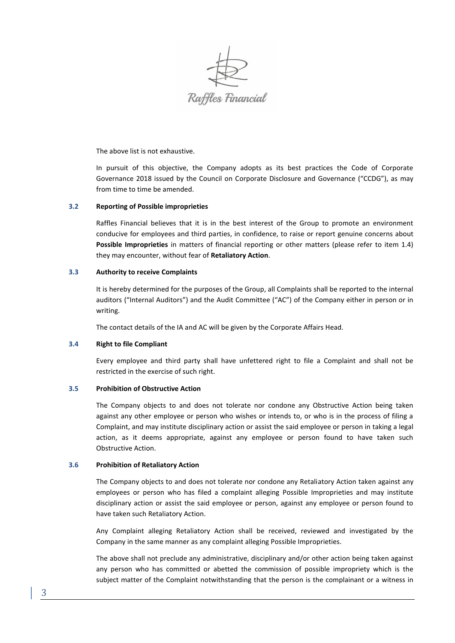

The above list is not exhaustive.

In pursuit of this objective, the Company adopts as its best practices the Code of Corporate Governance 2018 issued by the Council on Corporate Disclosure and Governance ("CCDG"), as may from time to time be amended.

### **3.2 Reporting of Possible improprieties**

Raffles Financial believes that it is in the best interest of the Group to promote an environment conducive for employees and third parties, in confidence, to raise or report genuine concerns about **Possible Improprieties** in matters of financial reporting or other matters (please refer to item 1.4) they may encounter, without fear of **Retaliatory Action**.

### **3.3 Authority to receive Complaints**

It is hereby determined for the purposes of the Group, all Complaints shall be reported to the internal auditors ("Internal Auditors") and the Audit Committee ("AC") of the Company either in person or in writing.

The contact details of the IA and AC will be given by the Corporate Affairs Head.

### **3.4 Right to file Compliant**

Every employee and third party shall have unfettered right to file a Complaint and shall not be restricted in the exercise of such right.

### **3.5 Prohibition of Obstructive Action**

The Company objects to and does not tolerate nor condone any Obstructive Action being taken against any other employee or person who wishes or intends to, or who is in the process of filing a Complaint, and may institute disciplinary action or assist the said employee or person in taking a legal action, as it deems appropriate, against any employee or person found to have taken such Obstructive Action.

### **3.6 Prohibition of Retaliatory Action**

The Company objects to and does not tolerate nor condone any Retaliatory Action taken against any employees or person who has filed a complaint alleging Possible Improprieties and may institute disciplinary action or assist the said employee or person, against any employee or person found to have taken such Retaliatory Action.

Any Complaint alleging Retaliatory Action shall be received, reviewed and investigated by the Company in the same manner as any complaint alleging Possible Improprieties.

The above shall not preclude any administrative, disciplinary and/or other action being taken against any person who has committed or abetted the commission of possible impropriety which is the subject matter of the Complaint notwithstanding that the person is the complainant or a witness in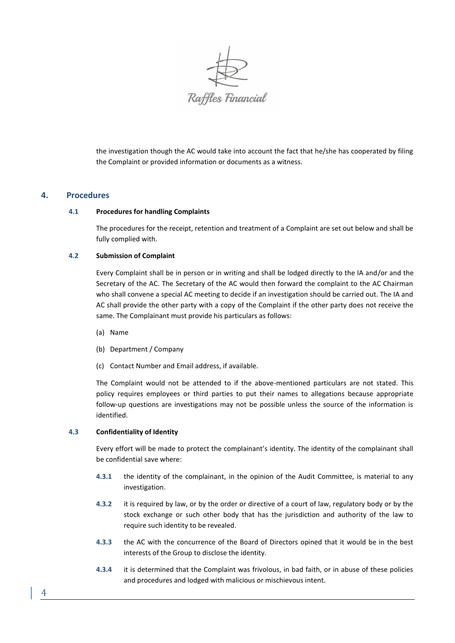

the investigation though the AC would take into account the fact that he/she has cooperated by filing the Complaint or provided information or documents as a witness.

# **4. Procedures**

### **4.1 Procedures for handling Complaints**

The procedures for the receipt, retention and treatment of a Complaint are set out below and shall be fully complied with.

### **4.2 Submission of Complaint**

Every Complaint shall be in person or in writing and shall be lodged directly to the IA and/or and the Secretary of the AC. The Secretary of the AC would then forward the complaint to the AC Chairman who shall convene a special AC meeting to decide if an investigation should be carried out. The IA and AC shall provide the other party with a copy of the Complaint if the other party does not receive the same. The Complainant must provide his particulars as follows:

- (a) Name
- (b) Department / Company
- (c) Contact Number and Email address, if available.

The Complaint would not be attended to if the above-mentioned particulars are not stated. This policy requires employees or third parties to put their names to allegations because appropriate follow-up questions are investigations may not be possible unless the source of the information is identified.

# **4.3 Confidentiality of Identity**

Every effort will be made to protect the complainant's identity. The identity of the complainant shall be confidential save where:

- **4.3.1** the identity of the complainant, in the opinion of the Audit Committee, is material to any investigation.
- **4.3.2** it is required by law, or by the order or directive of a court of law, regulatory body or by the stock exchange or such other body that has the jurisdiction and authority of the law to require such identity to be revealed.
- **4.3.3** the AC with the concurrence of the Board of Directors opined that it would be in the best interests of the Group to disclose the identity.
- **4.3.4** it is determined that the Complaint was frivolous, in bad faith, or in abuse of these policies and procedures and lodged with malicious or mischievous intent.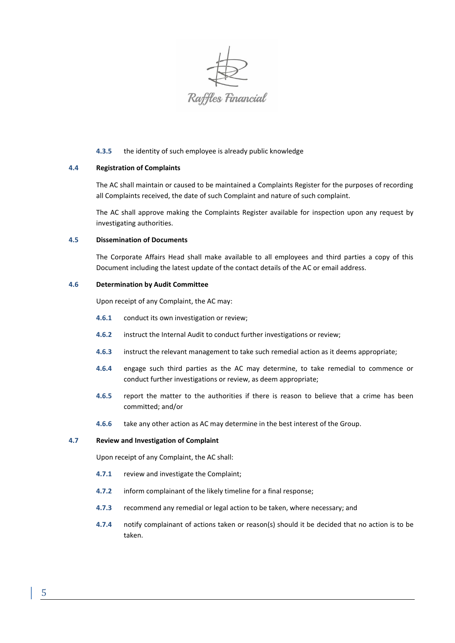

### **4.3.5** the identity of such employee is already public knowledge

### **4.4 Registration of Complaints**

The AC shall maintain or caused to be maintained a Complaints Register for the purposes of recording all Complaints received, the date of such Complaint and nature of such complaint.

The AC shall approve making the Complaints Register available for inspection upon any request by investigating authorities.

#### **4.5 Dissemination of Documents**

The Corporate Affairs Head shall make available to all employees and third parties a copy of this Document including the latest update of the contact details of the AC or email address.

### **4.6 Determination by Audit Committee**

Upon receipt of any Complaint, the AC may:

- **4.6.1** conduct its own investigation or review;
- **4.6.2** instruct the Internal Audit to conduct further investigations or review;
- **4.6.3** instruct the relevant management to take such remedial action as it deems appropriate;
- **4.6.4** engage such third parties as the AC may determine, to take remedial to commence or conduct further investigations or review, as deem appropriate;
- **4.6.5** report the matter to the authorities if there is reason to believe that a crime has been committed; and/or
- **4.6.6** take any other action as AC may determine in the best interest of the Group.

#### **4.7 Review and Investigation of Complaint**

Upon receipt of any Complaint, the AC shall:

- **4.7.1** review and investigate the Complaint;
- **4.7.2** inform complainant of the likely timeline for a final response;
- **4.7.3** recommend any remedial or legal action to be taken, where necessary; and
- **4.7.4** notify complainant of actions taken or reason(s) should it be decided that no action is to be taken.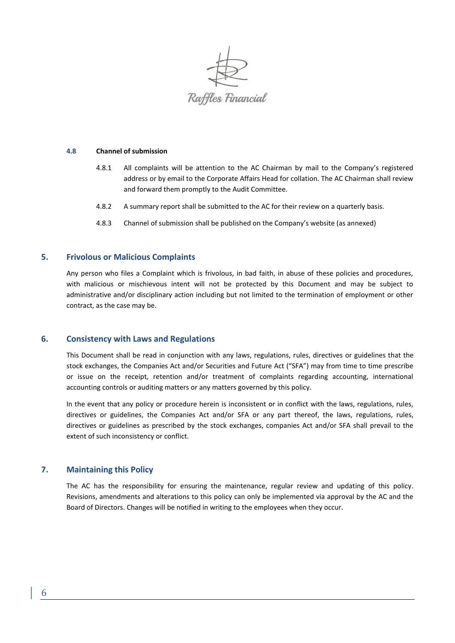

#### **4.8 Channel of submission**

- 4.8.1 All complaints will be attention to the AC Chairman by mail to the Company's registered address or by email to the Corporate Affairs Head for collation. The AC Chairman shall review and forward them promptly to the Audit Committee.
- 4.8.2 A summary report shall be submitted to the AC for their review on a quarterly basis.
- 4.8.3 Channel of submission shall be published on the Company's website (as annexed)

# **5. Frivolous or Malicious Complaints**

Any person who files a Complaint which is frivolous, in bad faith, in abuse of these policies and procedures, with malicious or mischievous intent will not be protected by this Document and may be subject to administrative and/or disciplinary action including but not limited to the termination of employment or other contract, as the case may be.

### **6. Consistency with Laws and Regulations**

This Document shall be read in conjunction with any laws, regulations, rules, directives or guidelines that the stock exchanges, the Companies Act and/or Securities and Future Act ("SFA") may from time to time prescribe or issue on the receipt, retention and/or treatment of complaints regarding accounting, international accounting controls or auditing matters or any matters governed by this policy.

In the event that any policy or procedure herein is inconsistent or in conflict with the laws, regulations, rules, directives or guidelines, the Companies Act and/or SFA or any part thereof, the laws, regulations, rules, directives or guidelines as prescribed by the stock exchanges, companies Act and/or SFA shall prevail to the extent of such inconsistency or conflict.

# **7. Maintaining this Policy**

The AC has the responsibility for ensuring the maintenance, regular review and updating of this policy. Revisions, amendments and alterations to this policy can only be implemented via approval by the AC and the Board of Directors. Changes will be notified in writing to the employees when they occur.